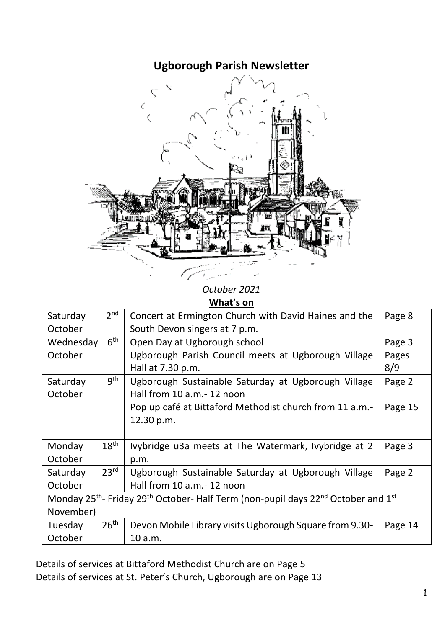# **Ugborough Parish Newsletter**



*October 2021* **What's on**

المدراء

| Saturday                                                                                                                          | 2 <sup>nd</sup>  | Concert at Ermington Church with David Haines and the   | Page 8  |  |
|-----------------------------------------------------------------------------------------------------------------------------------|------------------|---------------------------------------------------------|---------|--|
| October                                                                                                                           |                  | South Devon singers at 7 p.m.                           |         |  |
| Wednesday                                                                                                                         | 6 <sup>th</sup>  | Open Day at Ugborough school                            | Page 3  |  |
| October                                                                                                                           |                  | Ugborough Parish Council meets at Ugborough Village     | Pages   |  |
|                                                                                                                                   |                  | Hall at 7.30 p.m.                                       | 8/9     |  |
| Saturday                                                                                                                          | gth              | Ugborough Sustainable Saturday at Ugborough Village     | Page 2  |  |
| October                                                                                                                           |                  | Hall from 10 a.m.-12 noon                               |         |  |
|                                                                                                                                   |                  | Pop up café at Bittaford Methodist church from 11 a.m.- | Page 15 |  |
|                                                                                                                                   |                  | 12.30 p.m.                                              |         |  |
|                                                                                                                                   |                  |                                                         |         |  |
| Monday                                                                                                                            | $18^{\sf th}$    | Ivybridge u3a meets at The Watermark, Ivybridge at 2    | Page 3  |  |
| October                                                                                                                           |                  | p.m.                                                    |         |  |
| Saturday                                                                                                                          | 23 <sup>rd</sup> | Ugborough Sustainable Saturday at Ugborough Village     | Page 2  |  |
| October                                                                                                                           |                  | Hall from 10 a.m.- 12 noon                              |         |  |
| Monday 25 <sup>th</sup> - Friday 29 <sup>th</sup> October- Half Term (non-pupil days 22 <sup>nd</sup> October and 1 <sup>st</sup> |                  |                                                         |         |  |
| November)                                                                                                                         |                  |                                                         |         |  |
| Tuesday                                                                                                                           | 26 <sup>th</sup> | Devon Mobile Library visits Ugborough Square from 9.30- | Page 14 |  |
| October                                                                                                                           |                  | 10 a.m.                                                 |         |  |

Details of services at Bittaford Methodist Church are on Page 5 Details of services at St. Peter's Church, Ugborough are on Page 13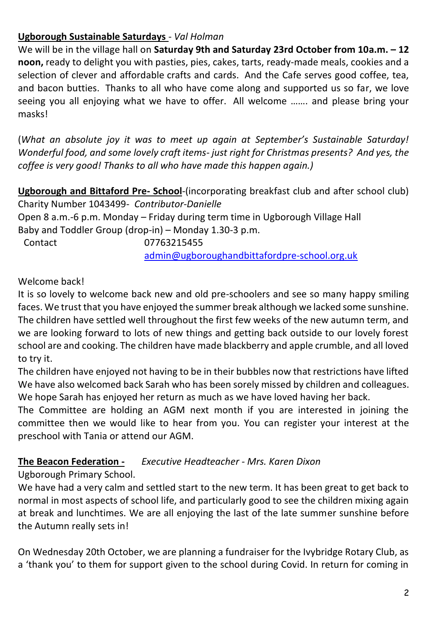# **Ugborough Sustainable Saturdays** - *Val Holman*

We will be in the village hall on **Saturday 9th and Saturday 23rd October from 10a.m. – 12 noon,** ready to delight you with pasties, pies, cakes, tarts, ready-made meals, cookies and a selection of clever and affordable crafts and cards. And the Cafe serves good coffee, tea, and bacon butties. Thanks to all who have come along and supported us so far, we love seeing you all enjoying what we have to offer. All welcome ……. and please bring your masks!

(*What an absolute joy it was to meet up again at September's Sustainable Saturday! Wonderful food, and some lovely craft items- just right for Christmas presents? And yes, the coffee is very good! Thanks to all who have made this happen again.)*

**Ugborough and Bittaford Pre- School**-(incorporating breakfast club and after school club) Charity Number 1043499*- Contributor-Danielle* Open 8 a.m.-6 p.m. Monday – Friday during term time in Ugborough Village Hall Baby and Toddler Group (drop-in) – Monday 1.30-3 p.m. Contact 07763215455

[admin@ugboroughandbittafordpre-school.org.uk](https://d.docs.live.net/d1d00904bc4b66e8/Documents/newsletter/Ugborough%20Parish%20Newsletters%20for%202019/admin@ugboroughandbittafordpre-school.org.uk)

### Welcome back!

It is so lovely to welcome back new and old pre-schoolers and see so many happy smiling faces. We trust that you have enjoyed the summer break although we lacked some sunshine. The children have settled well throughout the first few weeks of the new autumn term, and we are looking forward to lots of new things and getting back outside to our lovely forest school are and cooking. The children have made blackberry and apple crumble, and all loved to try it.

The children have enjoyed not having to be in their bubbles now that restrictions have lifted We have also welcomed back Sarah who has been sorely missed by children and colleagues. We hope Sarah has enjoyed her return as much as we have loved having her back.

The Committee are holding an AGM next month if you are interested in joining the committee then we would like to hear from you. You can register your interest at the preschool with Tania or attend our AGM.

# **The Beacon Federation -** *Executive Headteacher - Mrs. Karen Dixon*

Ugborough Primary School.

We have had a very calm and settled start to the new term. It has been great to get back to normal in most aspects of school life, and particularly good to see the children mixing again at break and lunchtimes. We are all enjoying the last of the late summer sunshine before the Autumn really sets in!

On Wednesday 20th October, we are planning a fundraiser for the Ivybridge Rotary Club, as a 'thank you' to them for support given to the school during Covid. In return for coming in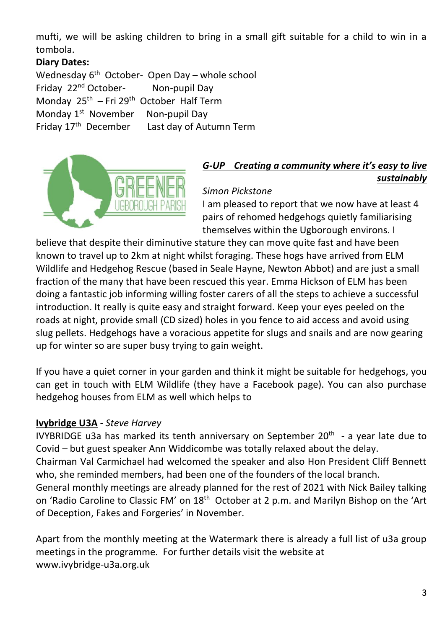mufti, we will be asking children to bring in a small gift suitable for a child to win in a tombola.

# **Diary Dates:**

Wednesday 6<sup>th</sup> October- Open Day – whole school Friday 22<sup>nd</sup> October-Non-pupil Day Monday 25th – Fri 29th October Half Term Monday 1<sup>st</sup> November<br>Friday 17<sup>th</sup> December Non-pupil Day Last day of Autumn Term



# *G-UP Creating a community where it's easy to live sustainably*

# *Simon Pickstone*

I am pleased to report that we now have at least 4 pairs of rehomed hedgehogs quietly familiarising themselves within the Ugborough environs. I

believe that despite their diminutive stature they can move quite fast and have been known to travel up to 2km at night whilst foraging. These hogs have arrived from ELM Wildlife and Hedgehog Rescue (based in Seale Hayne, Newton Abbot) and are just a small fraction of the many that have been rescued this year. Emma Hickson of ELM has been doing a fantastic job informing willing foster carers of all the steps to achieve a successful introduction. It really is quite easy and straight forward. Keep your eyes peeled on the roads at night, provide small (CD sized) holes in you fence to aid access and avoid using slug pellets. Hedgehogs have a voracious appetite for slugs and snails and are now gearing up for winter so are super busy trying to gain weight.

If you have a quiet corner in your garden and think it might be suitable for hedgehogs, you can get in touch with ELM Wildlife (they have a Facebook page). You can also purchase hedgehog houses from ELM as well which helps to

### **Ivybridge U3A** - *Steve Harvey*

IVYBRIDGE u3a has marked its tenth anniversary on September 20<sup>th</sup> - a year late due to Covid – but guest speaker Ann Widdicombe was totally relaxed about the delay. Chairman Val Carmichael had welcomed the speaker and also Hon President Cliff Bennett who, she reminded members, had been one of the founders of the local branch. General monthly meetings are already planned for the rest of 2021 with Nick Bailey talking on 'Radio Caroline to Classic FM' on 18<sup>th</sup> October at 2 p.m. and Marilyn Bishop on the 'Art of Deception, Fakes and Forgeries' in November.

Apart from the monthly meeting at the Watermark there is already a full list of u3a group meetings in the programme. For further details visit the website at www.ivybridge-u3a.org.uk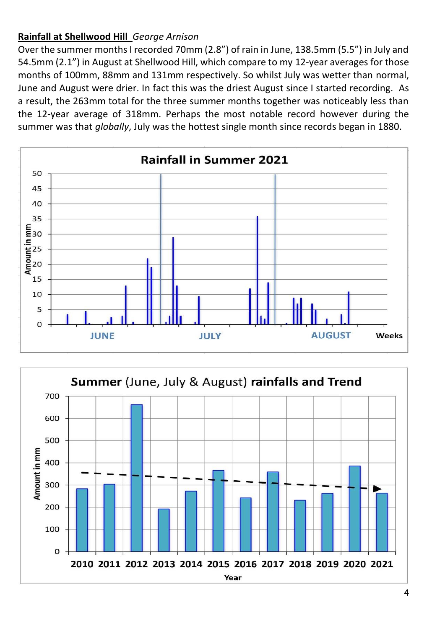# **Rainfall at Shellwood Hill** *George Arnison*

Over the summer months I recorded 70mm (2.8") of rain in June, 138.5mm (5.5") in July and 54.5mm (2.1") in August at Shellwood Hill, which compare to my 12-year averages for those months of 100mm, 88mm and 131mm respectively. So whilst July was wetter than normal, June and August were drier. In fact this was the driest August since I started recording. As a result, the 263mm total for the three summer months together was noticeably less than the 12-year average of 318mm. Perhaps the most notable record however during the summer was that *globally*, July was the hottest single month since records began in 1880.



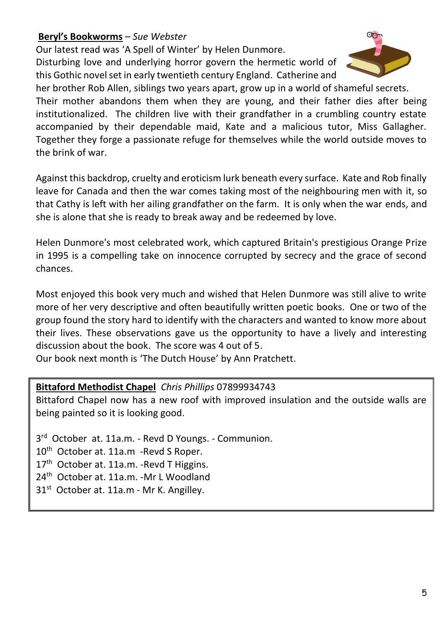### **Beryl's Bookworms** – *Sue Webster*

Our latest read was 'A Spell of Winter' by Helen Dunmore. Disturbing love and underlying horror govern the hermetic world of this Gothic novel set in early twentieth century England. Catherine and



her brother Rob Allen, siblings two years apart, grow up in a world of shameful secrets. Their mother abandons them when they are young, and their father dies after being institutionalized. The children live with their grandfather in a crumbling country estate accompanied by their dependable maid, Kate and a malicious tutor, Miss Gallagher. Together they forge a passionate refuge for themselves while the world outside moves to the brink of war.

Against this backdrop, cruelty and eroticism lurk beneath every surface. Kate and Rob finally leave for Canada and then the war comes taking most of the neighbouring men with it, so that Cathy is left with her ailing grandfather on the farm. It is only when the war ends, and she is alone that she is ready to break away and be redeemed by love.

Helen Dunmore's most celebrated work, which captured Britain's prestigious Orange Prize in 1995 is a compelling take on innocence corrupted by secrecy and the grace of second chances.

Most enjoyed this book very much and wished that Helen Dunmore was still alive to write more of her very descriptive and often beautifully written poetic books. One or two of the group found the story hard to identify with the characters and wanted to know more about their lives. These observations gave us the opportunity to have a lively and interesting discussion about the book. The score was 4 out of 5.

Our book next month is 'The Dutch House' by Ann Pratchett.

#### **Bittaford Methodist Chapel** *Chris Phillips* 07899934743

Bittaford Chapel now has a new roof with improved insulation and the outside walls are being painted so it is looking good.

3<sup>rd</sup> October at. 11a.m. - Revd D Youngs. - Communion. 10<sup>th</sup> October at. 11a.m -Revd S Roper.

17<sup>th</sup> October at. 11a.m. - Revd T Higgins.

24<sup>th</sup> October at. 11a.m. -Mr L Woodland

 $31<sup>st</sup>$  October at. 11a.m - Mr K. Angilley.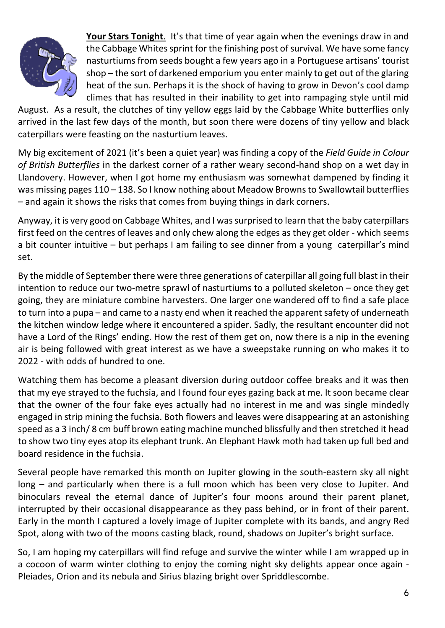

**Your Stars Tonight**. It's that time of year again when the evenings draw in and the Cabbage Whites sprint for the finishing post of survival. We have some fancy nasturtiums from seeds bought a few years ago in a Portuguese artisans' tourist shop – the sort of darkened emporium you enter mainly to get out of the glaring heat of the sun. Perhaps it is the shock of having to grow in Devon's cool damp climes that has resulted in their inability to get into rampaging style until mid

August. As a result, the clutches of tiny yellow eggs laid by the Cabbage White butterflies only arrived in the last few days of the month, but soon there were dozens of tiny yellow and black caterpillars were feasting on the nasturtium leaves.

My big excitement of 2021 (it's been a quiet year) was finding a copy of the *Field Guide in Colour of British Butterflies* in the darkest corner of a rather weary second-hand shop on a wet day in Llandovery. However, when I got home my enthusiasm was somewhat dampened by finding it was missing pages 110 - 138. So I know nothing about Meadow Browns to Swallowtail butterflies – and again it shows the risks that comes from buying things in dark corners.

Anyway, it is very good on Cabbage Whites, and I was surprised to learn that the baby caterpillars first feed on the centres of leaves and only chew along the edges as they get older - which seems a bit counter intuitive – but perhaps I am failing to see dinner from a young caterpillar's mind set.

By the middle of September there were three generations of caterpillar all going full blast in their intention to reduce our two-metre sprawl of nasturtiums to a polluted skeleton – once they get going, they are miniature combine harvesters. One larger one wandered off to find a safe place to turn into a pupa – and came to a nasty end when it reached the apparent safety of underneath the kitchen window ledge where it encountered a spider. Sadly, the resultant encounter did not have a Lord of the Rings' ending. How the rest of them get on, now there is a nip in the evening air is being followed with great interest as we have a sweepstake running on who makes it to 2022 - with odds of hundred to one.

Watching them has become a pleasant diversion during outdoor coffee breaks and it was then that my eye strayed to the fuchsia, and I found four eyes gazing back at me. It soon became clear that the owner of the four fake eyes actually had no interest in me and was single mindedly engaged in strip mining the fuchsia. Both flowers and leaves were disappearing at an astonishing speed as a 3 inch/ 8 cm buff brown eating machine munched blissfully and then stretched it head to show two tiny eyes atop its elephant trunk. An Elephant Hawk moth had taken up full bed and board residence in the fuchsia.

Several people have remarked this month on Jupiter glowing in the south-eastern sky all night long – and particularly when there is a full moon which has been very close to Jupiter. And binoculars reveal the eternal dance of Jupiter's four moons around their parent planet, interrupted by their occasional disappearance as they pass behind, or in front of their parent. Early in the month I captured a lovely image of Jupiter complete with its bands, and angry Red Spot, along with two of the moons casting black, round, shadows on Jupiter's bright surface.

So, I am hoping my caterpillars will find refuge and survive the winter while I am wrapped up in a cocoon of warm winter clothing to enjoy the coming night sky delights appear once again - Pleiades, Orion and its nebula and Sirius blazing bright over Spriddlescombe.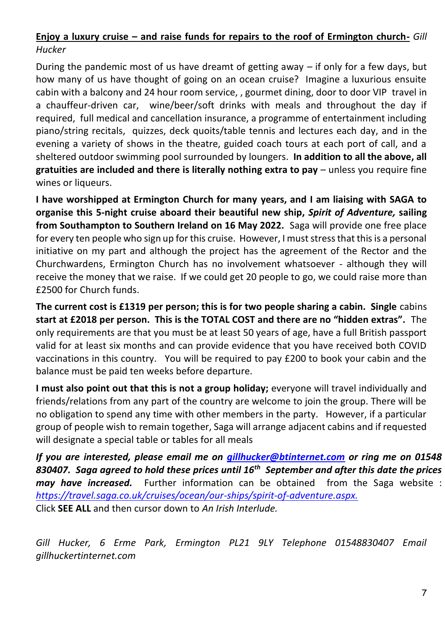# **Enjoy a luxury cruise – and raise funds for repairs to the roof of Ermington church-** *Gill Hucker*

During the pandemic most of us have dreamt of getting away – if only for a few days, but how many of us have thought of going on an ocean cruise? Imagine a luxurious ensuite cabin with a balcony and 24 hour room service, , gourmet dining, door to door VIP travel in a chauffeur-driven car, wine/beer/soft drinks with meals and throughout the day if required, full medical and cancellation insurance, a programme of entertainment including piano/string recitals, quizzes, deck quoits/table tennis and lectures each day, and in the evening a variety of shows in the theatre, guided coach tours at each port of call, and a sheltered outdoor swimming pool surrounded by loungers. **In addition to all the above, all gratuities are included and there is literally nothing extra to pay** – unless you require fine wines or liqueurs.

**I have worshipped at Ermington Church for many years, and I am liaising with SAGA to organise this 5-night cruise aboard their beautiful new ship,** *Spirit of Adventure,* **sailing from Southampton to Southern Ireland on 16 May 2022.** Saga will provide one free place for every ten people who sign up for this cruise. However, I must stress that this is a personal initiative on my part and although the project has the agreement of the Rector and the Churchwardens, Ermington Church has no involvement whatsoever - although they will receive the money that we raise. If we could get 20 people to go, we could raise more than £2500 for Church funds.

**The current cost is £1319 per person; this is for two people sharing a cabin. Single** cabins **start at £2018 per person. This is the TOTAL COST and there are no "hidden extras".** The only requirements are that you must be at least 50 years of age, have a full British passport valid for at least six months and can provide evidence that you have received both COVID vaccinations in this country. You will be required to pay £200 to book your cabin and the balance must be paid ten weeks before departure.

**I must also point out that this is not a group holiday;** everyone will travel individually and friends/relations from any part of the country are welcome to join the group. There will be no obligation to spend any time with other members in the party. However, if a particular group of people wish to remain together, Saga will arrange adjacent cabins and if requested will designate a special table or tables for all meals

*If you are interested, please email me on [gillhucker@btinternet.com](mailto:gillhucker@btinternet.com) or ring me on 01548 830407. Saga agreed to hold these prices until 16th September and after this date the prices may have increased.* Further information can be obtained from the Saga website : *<https://travel.saga.co.uk/cruises/ocean/our-ships/spirit-of-adventure.aspx.>* Click **SEE ALL** and then cursor down to *An Irish Interlude.* 

Gill Hucker, 6 Erme Park, Ermington PL21 9LY Telephone 01548830407 Email *gillhuckertinternet.com*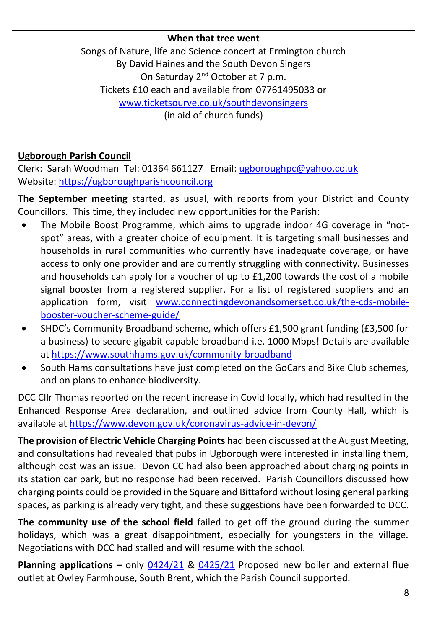### **When that tree went**

Songs of Nature, life and Science concert at Ermington church By David Haines and the South Devon Singers On Saturday 2<sup>nd</sup> October at 7 p.m. Tickets £10 each and available from 07761495033 or [www.ticketsourve.co.uk/southdevonsingers](http://www.ticketsourve.co.uk/southdevonsingers) (in aid of church funds)

# **Ugborough Parish Council**

Clerk: Sarah Woodman Tel: 01364 661127 Email: [ugboroughpc@yahoo.co.uk](file:///C:/Users/User/Documents/newsletter/ugboroughpc@yahoo.co.uk) Website[: https://ugboroughparishcouncil.org](https://ugboroughparishcouncil.org/)

**The September meeting** started, as usual, with reports from your District and County Councillors. This time, they included new opportunities for the Parish:

- The Mobile Boost Programme, which aims to upgrade indoor 4G coverage in "notspot" areas, with a greater choice of equipment. It is targeting small businesses and households in rural communities who currently have inadequate coverage, or have access to only one provider and are currently struggling with connectivity. Businesses and households can apply for a voucher of up to £1,200 towards the cost of a mobile signal booster from a registered supplier. For a list of registered suppliers and an application form, visit [www.connectingdevonandsomerset.co.uk/the-cds-mobile](file:///C:/Users/UgboroughPC/Documents/UPC/Newsletter%20&%20Press%20releases/2021/www.connectingdevonandsomerset.co.uk/the-cds-mobile-booster-voucher-scheme-guide/)[booster-voucher-scheme-guide/](file:///C:/Users/UgboroughPC/Documents/UPC/Newsletter%20&%20Press%20releases/2021/www.connectingdevonandsomerset.co.uk/the-cds-mobile-booster-voucher-scheme-guide/)
- SHDC's Community Broadband scheme, which offers £1,500 grant funding (£3,500 for a business) to secure gigabit capable broadband i.e. 1000 Mbps! Details are available a[t https://www.southhams.gov.uk/community-broadband](https://www.southhams.gov.uk/community-broadband)
- South Hams consultations have just completed on the GoCars and Bike Club schemes, and on plans to enhance biodiversity.

DCC Cllr Thomas reported on the recent increase in Covid locally, which had resulted in the Enhanced Response Area declaration, and outlined advice from County Hall, which is available a[t https://www.devon.gov.uk/coronavirus-advice-in-devon/](https://www.devon.gov.uk/coronavirus-advice-in-devon/)

**The provision of Electric Vehicle Charging Points** had been discussed at the August Meeting, and consultations had revealed that pubs in Ugborough were interested in installing them, although cost was an issue. Devon CC had also been approached about charging points in its station car park, but no response had been received. Parish Councillors discussed how charging points could be provided in the Square and Bittaford without losing general parking spaces, as parking is already very tight, and these suggestions have been forwarded to DCC.

**The community use of the school field** failed to get off the ground during the summer holidays, which was a great disappointment, especially for youngsters in the village. Negotiations with DCC had stalled and will resume with the school.

**Planning applications –** only [0424/21](https://www.dartmoor.gov.uk/living-and-working/planning/db-links/application-details?AppNo=0424%2F21) & [0425/21](https://www.dartmoor.gov.uk/living-and-working/planning/db-links/application-details?AppNo=0425%2F21) Proposed new boiler and external flue outlet at Owley Farmhouse, South Brent, which the Parish Council supported.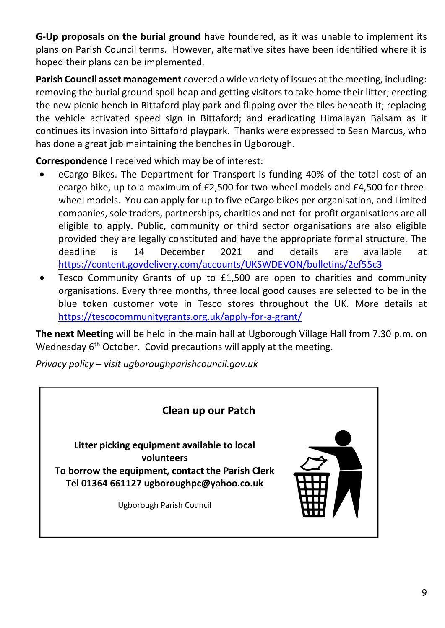**G-Up proposals on the burial ground** have foundered, as it was unable to implement its plans on Parish Council terms. However, alternative sites have been identified where it is hoped their plans can be implemented.

**Parish Council asset management** covered a wide variety of issues at the meeting, including: removing the burial ground spoil heap and getting visitors to take home their litter; erecting the new picnic bench in Bittaford play park and flipping over the tiles beneath it; replacing the vehicle activated speed sign in Bittaford; and eradicating Himalayan Balsam as it continues its invasion into Bittaford playpark. Thanks were expressed to Sean Marcus, who has done a great job maintaining the benches in Ugborough.

**Correspondence** I received which may be of interest:

- eCargo Bikes. The Department for Transport is funding 40% of the total cost of an ecargo bike, up to a maximum of £2,500 for two-wheel models and £4,500 for threewheel models. You can apply for up to five eCargo bikes per organisation, and Limited companies, sole traders, partnerships, charities and not-for-profit organisations are all eligible to apply. Public, community or third sector organisations are also eligible provided they are legally constituted and have the appropriate formal structure. The deadline is 14 December 2021 and details are available at <https://content.govdelivery.com/accounts/UKSWDEVON/bulletins/2ef55c3>
- Tesco Community Grants of up to £1,500 are open to charities and community organisations. Every three months, three local good causes are selected to be in the blue token customer vote in Tesco stores throughout the UK. More details at <https://tescocommunitygrants.org.uk/apply-for-a-grant/>

**The next Meeting** will be held in the main hall at Ugborough Village Hall from 7.30 p.m. on Wednesday 6<sup>th</sup> October. Covid precautions will apply at the meeting.

*Privacy policy – visit ugboroughparishcouncil.gov.uk*

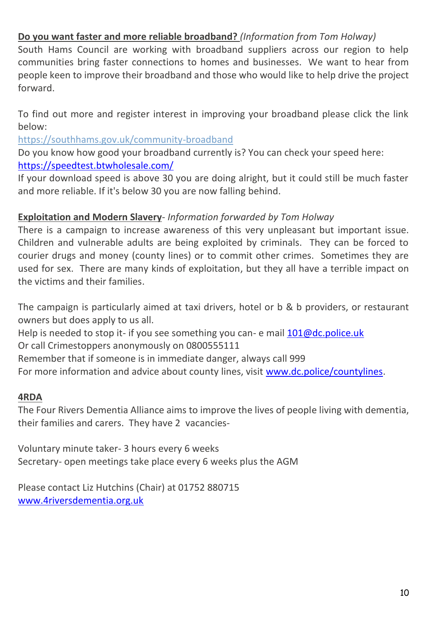# **Do you want faster and more reliable broadband?** *(Information from Tom Holway)*

South Hams Council are working with broadband suppliers across our region to help communities bring faster connections to homes and businesses. We want to hear from people keen to improve their broadband and those who would like to help drive the project forward.

To find out more and register interest in improving your broadband please click the link below:

[https://southhams.gov.uk/community-broadband](https://lnks.gd/l/eyJhbGciOiJIUzI1NiJ9.eyJidWxsZXRpbl9saW5rX2lkIjoxMDIsInVyaSI6ImJwMjpjbGljayIsImJ1bGxldGluX2lkIjoiMjAyMTA5MTcuNDYwNjgxMTEiLCJ1cmwiOiJodHRwczovL3NvdXRoaGFtcy5nb3YudWsvY29tbXVuaXR5LWJyb2FkYmFuZCJ9.eGpGYlb52A615wTnodTGtecJVKOzxeQ22T6t4ZhZuno/s/657086577/br/112512551752-l)

Do you know how good your broadband currently is? You can check your speed here: <https://speedtest.btwholesale.com/>

If your download speed is above 30 you are doing alright, but it could still be much faster and more reliable. If it's below 30 you are now falling behind.

### **Exploitation and Modern Slavery***- Information forwarded by Tom Holway*

There is a campaign to increase awareness of this very unpleasant but important issue. Children and vulnerable adults are being exploited by criminals. They can be forced to courier drugs and money (county lines) or to commit other crimes. Sometimes they are used for sex. There are many kinds of exploitation, but they all have a terrible impact on the victims and their families.

The campaign is particularly aimed at taxi drivers, hotel or b & b providers, or restaurant owners but does apply to us all.

Help is needed to stop it- if you see something you can- e mai[l 101@dc.police.uk](mailto:101@dc.police.uk) Or call Crimestoppers anonymously on 0800555111

Remember that if someone is in immediate danger, always call 999

For more information and advice about county lines, visi[t www.dc.police/countylines.](http://www.dc.police/countylines)

#### **4RDA**

The Four Rivers Dementia Alliance aims to improve the lives of people living with dementia, their families and carers. They have 2 vacancies-

Voluntary minute taker- 3 hours every 6 weeks Secretary- open meetings take place every 6 weeks plus the AGM

Please contact Liz Hutchins (Chair) at 01752 880715 [www.4riversdementia.org.uk](http://www.4riversdementia.org.uk/)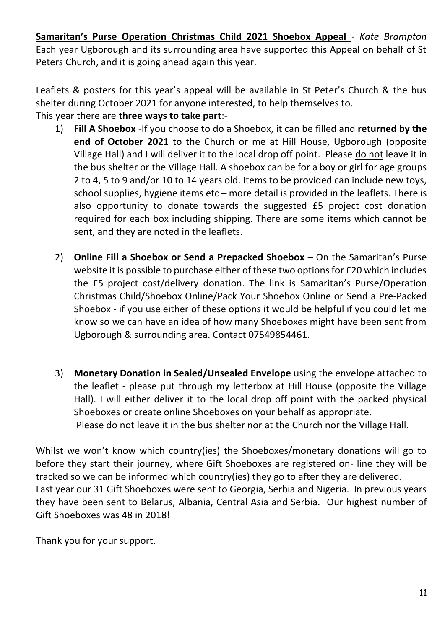**Samaritan's Purse Operation Christmas Child 2021 Shoebox Appeal** - *Kate Brampton*  Each year Ugborough and its surrounding area have supported this Appeal on behalf of St Peters Church, and it is going ahead again this year.

Leaflets & posters for this year's appeal will be available in St Peter's Church & the bus shelter during October 2021 for anyone interested, to help themselves to.

# This year there are **three ways to take part**:-

- 1) **Fill A Shoebox** -If you choose to do a Shoebox, it can be filled and **returned by the end of October 2021** to the Church or me at Hill House, Ugborough (opposite Village Hall) and I will deliver it to the local drop off point. Please do not leave it in the bus shelter or the Village Hall. A shoebox can be for a boy or girl for age groups 2 to 4, 5 to 9 and/or 10 to 14 years old. Items to be provided can include new toys, school supplies, hygiene items etc – more detail is provided in the leaflets. There is also opportunity to donate towards the suggested £5 project cost donation required for each box including shipping. There are some items which cannot be sent, and they are noted in the leaflets.
- 2) **Online Fill a Shoebox or Send a Prepacked Shoebox**  On the Samaritan's Purse website it is possible to purchase either of these two options for £20 which includes the £5 project cost/delivery donation. The link is Samaritan's Purse/Operation Christmas Child/Shoebox Online/Pack Your Shoebox Online or Send a Pre-Packed Shoebox - if you use either of these options it would be helpful if you could let me know so we can have an idea of how many Shoeboxes might have been sent from Ugborough & surrounding area. Contact 07549854461.
- 3) **Monetary Donation in Sealed/Unsealed Envelope** using the envelope attached to the leaflet - please put through my letterbox at Hill House (opposite the Village Hall). I will either deliver it to the local drop off point with the packed physical Shoeboxes or create online Shoeboxes on your behalf as appropriate. Please do not leave it in the bus shelter nor at the Church nor the Village Hall.

Whilst we won't know which country(ies) the Shoeboxes/monetary donations will go to before they start their journey, where Gift Shoeboxes are registered on- line they will be tracked so we can be informed which country(ies) they go to after they are delivered. Last year our 31 Gift Shoeboxes were sent to Georgia, Serbia and Nigeria. In previous years they have been sent to Belarus, Albania, Central Asia and Serbia. Our highest number of Gift Shoeboxes was 48 in 2018!

Thank you for your support.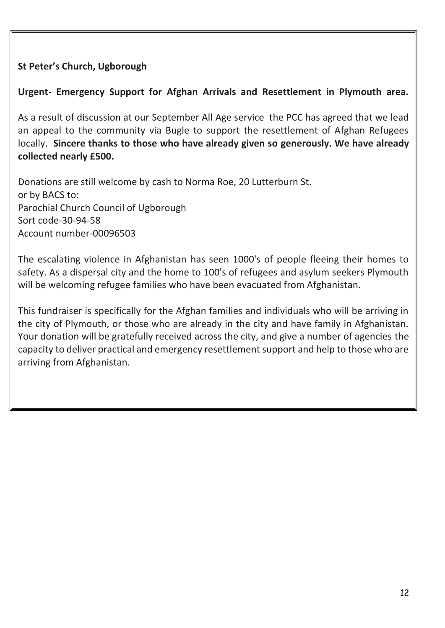# **St Peter's Church, Ugborough**

# **Urgent- Emergency Support for Afghan Arrivals and Resettlement in Plymouth area.**

As a result of discussion at our September All Age service the PCC has agreed that we lead an appeal to the community via Bugle to support the resettlement of Afghan Refugees locally. **Sincere thanks to those who have already given so generously. We have already collected nearly £500.**

Donations are still welcome by cash to Norma Roe, 20 Lutterburn St. or by BACS to: Parochial Church Council of Ugborough Sort code-30-94-58 Account number-00096503

The escalating violence in Afghanistan has seen 1000's of people fleeing their homes to safety. As a dispersal city and the home to 100's of refugees and asylum seekers Plymouth will be welcoming refugee families who have been evacuated from Afghanistan.

This fundraiser is specifically for the Afghan families and individuals who will be arriving in the city of Plymouth, or those who are already in the city and have family in Afghanistan. Your donation will be gratefully received across the city, and give a number of agencies the capacity to deliver practical and emergency resettlement support and help to those who are arriving from Afghanistan.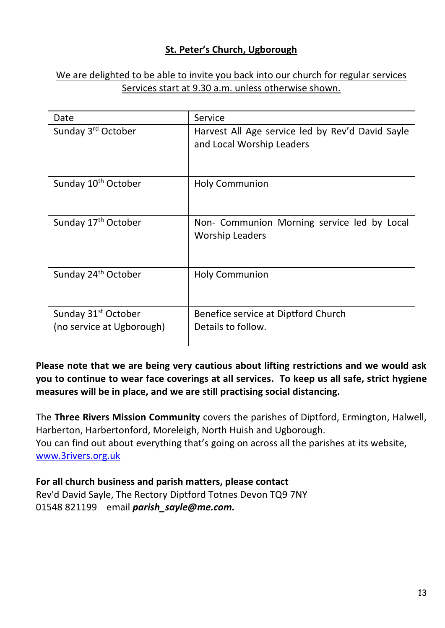# **St. Peter's Church, Ugborough**

### We are delighted to be able to invite you back into our church for regular services Services start at 9.30 a.m. unless otherwise shown.

| Date                                                         | Service                                                                       |
|--------------------------------------------------------------|-------------------------------------------------------------------------------|
| Sunday 3rd October                                           | Harvest All Age service led by Rev'd David Sayle<br>and Local Worship Leaders |
| Sunday 10 <sup>th</sup> October                              | <b>Holy Communion</b>                                                         |
| Sunday 17 <sup>th</sup> October                              | Non- Communion Morning service led by Local<br><b>Worship Leaders</b>         |
| Sunday 24 <sup>th</sup> October                              | <b>Holy Communion</b>                                                         |
| Sunday 31 <sup>st</sup> October<br>(no service at Ugborough) | Benefice service at Diptford Church<br>Details to follow.                     |

### **Please note that we are being very cautious about lifting restrictions and we would ask you to continue to wear face coverings at all services. To keep us all safe, strict hygiene measures will be in place, and we are still practising social distancing.**

The **Three Rivers Mission Community** covers the parishes of Diptford, Ermington, Halwell, Harberton, Harbertonford, Moreleigh, North Huish and Ugborough.

You can find out about everything that's going on across all the parishes at its website, [www.3rivers.org.uk](http://www.3rivers.org.uk/)

#### **For all church business and parish matters, please contact**

Rev'd David Sayle, The Rectory Diptford Totnes Devon TQ9 7NY 01548 821199 email *[parish\\_sayle@me.com.](mailto:parish_sayle@me.com)*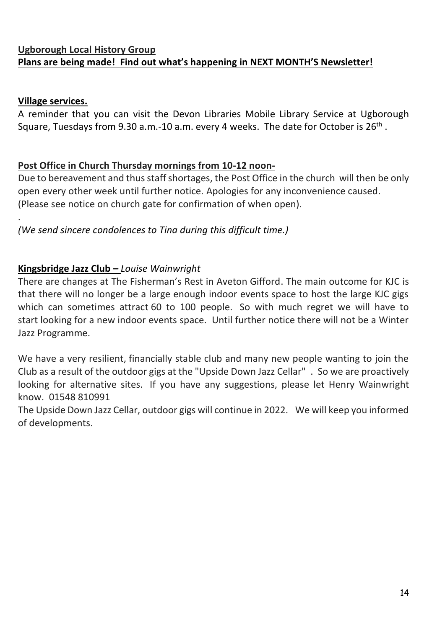# **Ugborough Local History Group Plans are being made! Find out what's happening in NEXT MONTH'S Newsletter!**

### **Village services.**

.

A reminder that you can visit the Devon Libraries Mobile Library Service at Ugborough Square, Tuesdays from 9.30 a.m.-10 a.m. every 4 weeks. The date for October is 26<sup>th</sup> .

# **Post Office in Church Thursday mornings from 10-12 noon-**

Due to bereavement and thus staff shortages, the Post Office in the church will then be only open every other week until further notice. Apologies for any inconvenience caused. (Please see notice on church gate for confirmation of when open).

# *(We send sincere condolences to Tina during this difficult time.)*

### **Kingsbridge Jazz Club –** *Louise Wainwright*

There are changes at The Fisherman's Rest in Aveton Gifford. The main outcome for KJC is that there will no longer be a large enough indoor events space to host the large KJC gigs which can sometimes attract 60 to 100 people. So with much regret we will have to start looking for a new indoor events space. Until further notice there will not be a Winter Jazz Programme.

We have a very resilient, financially stable club and many new people wanting to join the Club as a result of the outdoor gigs at the "Upside Down Jazz Cellar" . So we are proactively looking for alternative sites. If you have any suggestions, please let Henry Wainwright know. 01548 810991

The Upside Down Jazz Cellar, outdoor gigs will continue in 2022. We will keep you informed of developments.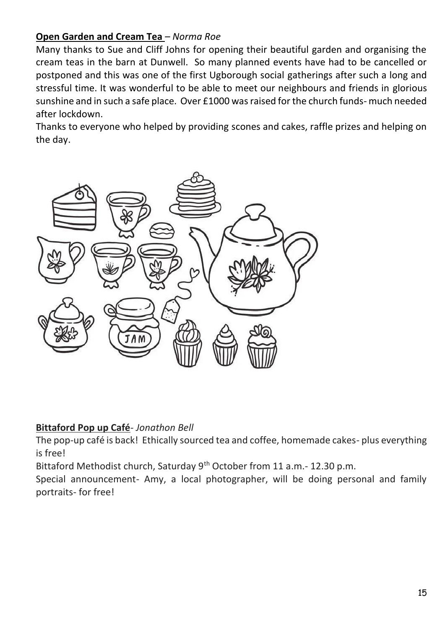# **Open Garden and Cream Tea** *– Norma Roe*

Many thanks to Sue and Cliff Johns for opening their beautiful garden and organising the cream teas in the barn at Dunwell. So many planned events have had to be cancelled or postponed and this was one of the first Ugborough social gatherings after such a long and stressful time. It was wonderful to be able to meet our neighbours and friends in glorious sunshine and in such a safe place. Over £1000 was raised for the church funds- much needed after lockdown.

Thanks to everyone who helped by providing scones and cakes, raffle prizes and helping on the day.



### **Bittaford Pop up Café***- Jonathon Bell*

The pop-up café is back! Ethically sourced tea and coffee, homemade cakes- plus everything is free!

Bittaford Methodist church, Saturday 9<sup>th</sup> October from 11 a.m.- 12.30 p.m.

Special announcement- Amy, a local photographer, will be doing personal and family portraits- for free!